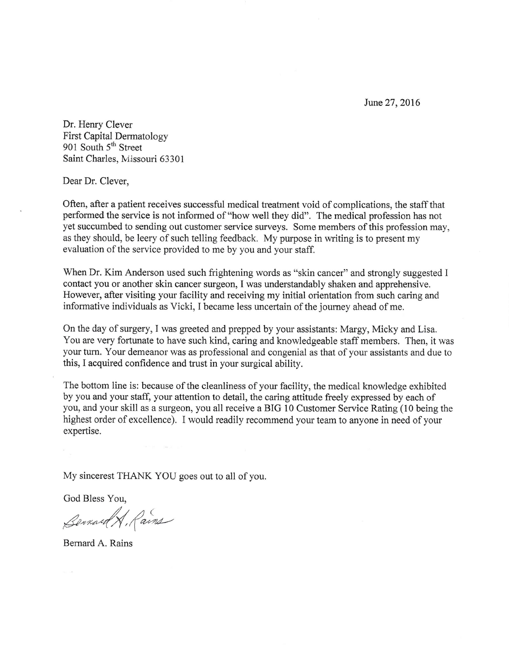June 27, 2016

Dr. Henry Clever First Capital Dermatology 901 South 5<sup>th</sup> Street Saint Charles, Missouri 63301

Dear Dr. Clever,

Often, after a patient receives successful medical treatment void of complications, the staff that performed the service is not informed of "how well they did". The medical profession has not yet succumbed to sending out customer service surveys. Some members of this profession may, as they should, be leery of such telling feedback, My purpose in writing is to present my evaluation of the service provided to me by you and your staff.

When Dr. Kim Anderson used such frightening words as "skin cancer" and strongly suggested I contact you or another skin cancer surgeon, I was understandably shaken and apprehensive. However, after visiting your facility and receiving my initial orientation from such caring and informative individuals as Vicki, I became less uncertain of the journey ahead of me.

On the day of surgery, I was greeted and prepped by your assistants: Margy, Micky and Lisa. You are very fortunate to have such kind, caring and knowledgeable staff members. Then, it was your turn. Your demeanor was as professional and congenial as that of your assistants and due to this, I acquired confidence and trust in your surgical ability.

The bottom line is: because of the cleanliness of your facility, the medical knowledge exhibited by you and your staff, your attention to detail, the caring attitude freely expressed by each of you, and your skill as a surgeon, you all receive a BIG 10 Customer Service Rating (10 being the highest order of excellence). I would readily recommend your team to anyone in need of your expertise.

My sincerest THANK YOU goes out to all of you.

God Bless You,

Bennard A, Rains

Bernard A. Rains